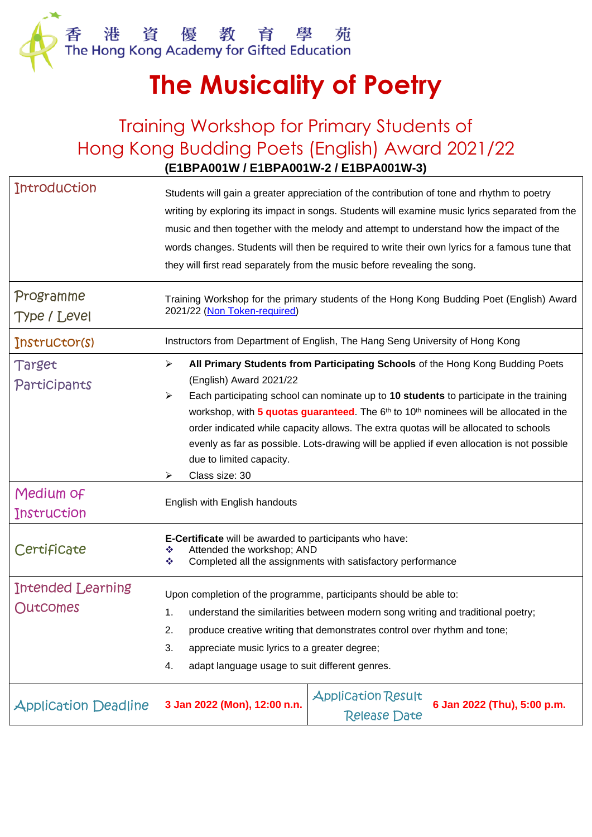

## **The Musicality of Poetry**

## Training Workshop for Primary Students of Hong Kong Budding Poets (English) Award 2021/22 **(E1BPA001W / E1BPA001W-2 / E1BPA001W-3)**

| <b>Introduction</b>         |                                                                                                                                                                       |  |  |  |
|-----------------------------|-----------------------------------------------------------------------------------------------------------------------------------------------------------------------|--|--|--|
|                             | Students will gain a greater appreciation of the contribution of tone and rhythm to poetry                                                                            |  |  |  |
|                             | writing by exploring its impact in songs. Students will examine music lyrics separated from the                                                                       |  |  |  |
|                             | music and then together with the melody and attempt to understand how the impact of the                                                                               |  |  |  |
|                             | words changes. Students will then be required to write their own lyrics for a famous tune that                                                                        |  |  |  |
|                             | they will first read separately from the music before revealing the song.                                                                                             |  |  |  |
| Programme                   | Training Workshop for the primary students of the Hong Kong Budding Poet (English) Award                                                                              |  |  |  |
| Type / Level                | 2021/22 (Non Token-required)                                                                                                                                          |  |  |  |
| Instructor(s)               | Instructors from Department of English, The Hang Seng University of Hong Kong                                                                                         |  |  |  |
| Target<br>Participants      | All Primary Students from Participating Schools of the Hong Kong Budding Poets<br>➤<br>(English) Award 2021/22                                                        |  |  |  |
|                             | Each participating school can nominate up to 10 students to participate in the training<br>➤                                                                          |  |  |  |
|                             | workshop, with 5 quotas guaranteed. The 6 <sup>th</sup> to 10 <sup>th</sup> nominees will be allocated in the                                                         |  |  |  |
|                             | order indicated while capacity allows. The extra quotas will be allocated to schools                                                                                  |  |  |  |
|                             | evenly as far as possible. Lots-drawing will be applied if even allocation is not possible                                                                            |  |  |  |
|                             | due to limited capacity.                                                                                                                                              |  |  |  |
|                             | Class size: 30<br>⋗                                                                                                                                                   |  |  |  |
| Medium of                   | English with English handouts                                                                                                                                         |  |  |  |
| Instruction                 |                                                                                                                                                                       |  |  |  |
| Certificate                 | <b>E-Certificate</b> will be awarded to participants who have:<br>Attended the workshop; AND<br>❖<br>Completed all the assignments with satisfactory performance<br>❖ |  |  |  |
| Intended Learning           | Upon completion of the programme, participants should be able to:                                                                                                     |  |  |  |
| Outcomes                    | understand the similarities between modern song writing and traditional poetry;<br>1.                                                                                 |  |  |  |
|                             | 2.<br>produce creative writing that demonstrates control over rhythm and tone;                                                                                        |  |  |  |
|                             | 3.<br>appreciate music lyrics to a greater degree;                                                                                                                    |  |  |  |
|                             | adapt language usage to suit different genres.<br>4.                                                                                                                  |  |  |  |
| <b>Application Deadline</b> | <b>Application Result</b><br>6 Jan 2022 (Thu), 5:00 p.m.<br>3 Jan 2022 (Mon), 12:00 n.n.<br><b>Release Date</b>                                                       |  |  |  |